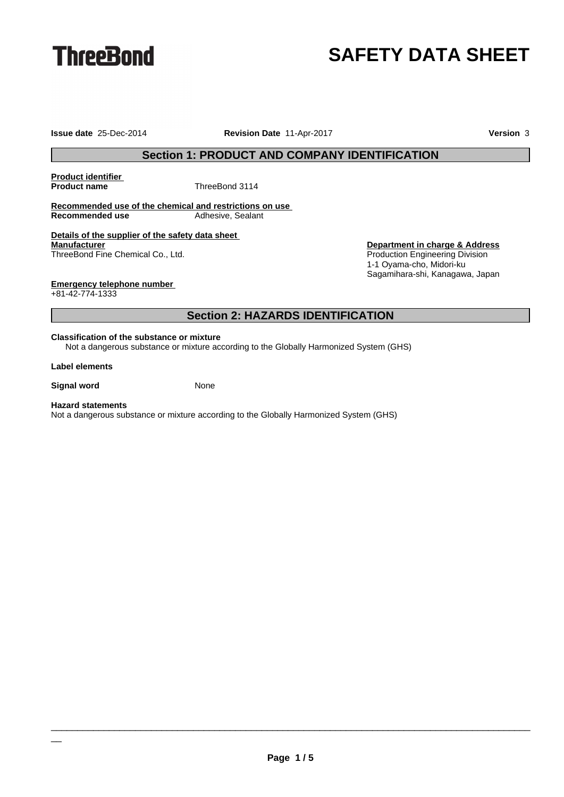

# **SAFETY DATA SHEET**

**Issue date** 25-Dec-2014 **Revision Date** 11-Apr-2017 **Version** 3

## **Section 1: PRODUCT AND COMPANY IDENTIFICATION**

**Product identifier**

**ThreeBond 3114** 

**Recommended use of the chemical and restrictions on use Recommended use** Adhesive, Sealant

**Details of the supplier of the safety data sheet Manufacturer** ThreeBond Fine Chemical Co., Ltd.

**Department in charge & Address** Production Engineering Division 1-1 Oyama-cho, Midori-ku Sagamihara-shi, Kanagawa, Japan

**Emergency telephone number**

+81-42-774-1333

## **Section 2: HAZARDS IDENTIFICATION**

#### **Classification of the substance or mixture**

Not a dangerous substance or mixture according to the Globally Harmonized System (GHS)

#### **Label elements**

**Signal word** None

#### **Hazard statements**

\_\_

Not a dangerous substance or mixture according to the Globally Harmonized System (GHS)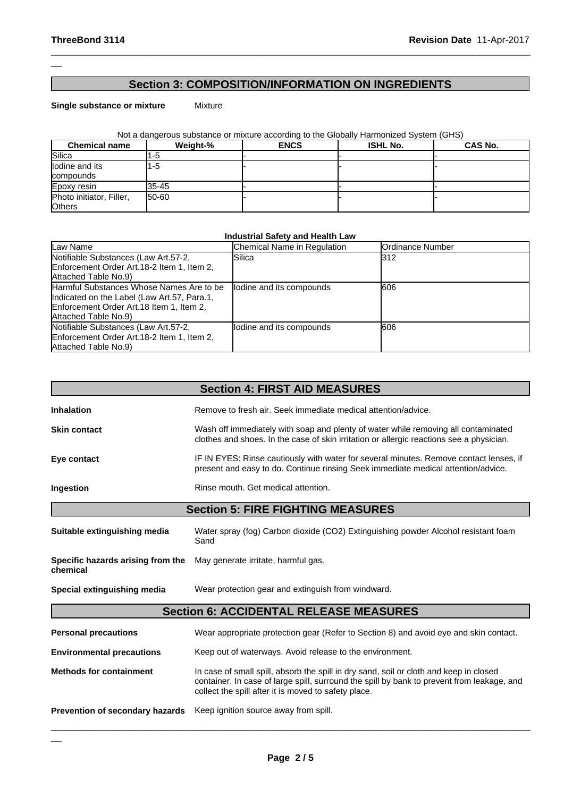### **Section 3: COMPOSITION/INFORMATION ON INGREDIENTS**

 $\_$  ,  $\_$  ,  $\_$  ,  $\_$  ,  $\_$  ,  $\_$  ,  $\_$  ,  $\_$  ,  $\_$  ,  $\_$  ,  $\_$  ,  $\_$  ,  $\_$  ,  $\_$  ,  $\_$  ,  $\_$  ,  $\_$  ,  $\_$  ,  $\_$  ,  $\_$  ,  $\_$  ,  $\_$  ,  $\_$  ,  $\_$  ,  $\_$  ,  $\_$  ,  $\_$  ,  $\_$  ,  $\_$  ,  $\_$  ,  $\_$  ,  $\_$  ,  $\_$  ,  $\_$  ,  $\_$  ,  $\_$  ,  $\_$  ,

**Single substance or mixture** Mixture

Not a dangerous substance or mixture according to the Globally Harmonized System (GHS)

| <b>Chemical name</b>                      | Weight-% | <b>ENCS</b> | <b>ISHL No.</b> | <b>CAS No.</b> |
|-------------------------------------------|----------|-------------|-----------------|----------------|
| Silica                                    |          |             |                 |                |
| lodine and its<br>compounds               | 1-5      |             |                 |                |
| Epoxy resin                               | 35-45    |             |                 |                |
| Photo initiator, Filler,<br><b>Others</b> | 50-60    |             |                 |                |

#### **Industrial Safety and Health Law**

| Law Name                                                                                                                                                     | Chemical Name in Regulation | <b>IOrdinance Number</b> |
|--------------------------------------------------------------------------------------------------------------------------------------------------------------|-----------------------------|--------------------------|
| Notifiable Substances (Law Art.57-2,<br>Enforcement Order Art. 18-2 Item 1, Item 2,<br>Attached Table No.9)                                                  | Silica                      | l312                     |
| Harmful Substances Whose Names Are to be<br>Indicated on the Label (Law Art.57, Para.1,<br>Enforcement Order Art. 18 Item 1, Item 2,<br>Attached Table No.9) | lodine and its compounds    | <b>1606</b>              |
| Notifiable Substances (Law Art.57-2,<br>Enforcement Order Art. 18-2 Item 1, Item 2,<br>Attached Table No.9)                                                  | lodine and its compounds    | <b>1606</b>              |

|                                               | <b>Section 4: FIRST AID MEASURES</b>                                                                                                                                           |
|-----------------------------------------------|--------------------------------------------------------------------------------------------------------------------------------------------------------------------------------|
| <b>Inhalation</b>                             | Remove to fresh air. Seek immediate medical attention/advice.                                                                                                                  |
| <b>Skin contact</b>                           | Wash off immediately with soap and plenty of water while removing all contaminated<br>clothes and shoes. In the case of skin irritation or allergic reactions see a physician. |
| Eye contact                                   | IF IN EYES: Rinse cautiously with water for several minutes. Remove contact lenses, if<br>present and easy to do. Continue rinsing Seek immediate medical attention/advice.    |
| Ingestion                                     | Rinse mouth. Get medical attention.                                                                                                                                            |
|                                               | <b>Section 5: FIRE FIGHTING MEASURES</b>                                                                                                                                       |
| Suitable extinguishing media                  | Water spray (fog) Carbon dioxide (CO2) Extinguishing powder Alcohol resistant foam<br>Sand                                                                                     |
| Specific hazards arising from the<br>chemical | May generate irritate, harmful gas.                                                                                                                                            |
| Special extinguishing media                   | Wear protection gear and extinguish from windward.                                                                                                                             |
|                                               | <b>Section 6: ACCIDENTAL RELEASE MEASURES</b>                                                                                                                                  |
| <b>Personal precautions</b>                   | Wear appropriate protection gear (Refer to Section 8) and avoid eye and skin contact.                                                                                          |
| <b>Environmental precautions</b>              | Keep out of waterways. Avoid release to the environment.                                                                                                                       |

| <b>Methods for containment</b> | In case of small spill, absorb the spill in dry sand, soil or cloth and keep in closed<br>container. In case of large spill, surround the spill by bank to prevent from leakage, and |
|--------------------------------|--------------------------------------------------------------------------------------------------------------------------------------------------------------------------------------|
|                                | collect the spill after it is moved to safety place.                                                                                                                                 |

**Prevention of secondary hazards** Keep ignition source away from spill.

\_\_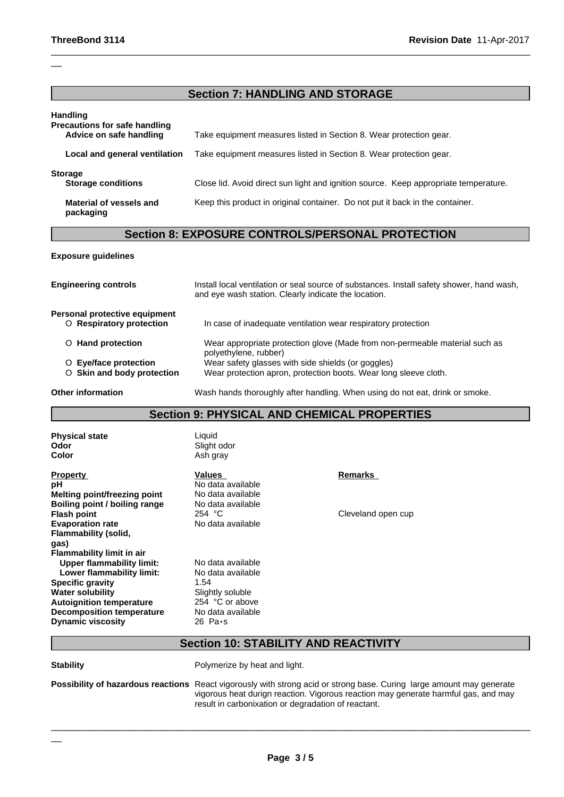#### **Section 7: HANDLING AND STORAGE**

 $\_$  ,  $\_$  ,  $\_$  ,  $\_$  ,  $\_$  ,  $\_$  ,  $\_$  ,  $\_$  ,  $\_$  ,  $\_$  ,  $\_$  ,  $\_$  ,  $\_$  ,  $\_$  ,  $\_$  ,  $\_$  ,  $\_$  ,  $\_$  ,  $\_$  ,  $\_$  ,  $\_$  ,  $\_$  ,  $\_$  ,  $\_$  ,  $\_$  ,  $\_$  ,  $\_$  ,  $\_$  ,  $\_$  ,  $\_$  ,  $\_$  ,  $\_$  ,  $\_$  ,  $\_$  ,  $\_$  ,  $\_$  ,  $\_$  ,

| <b>Handling</b><br><b>Precautions for safe handling</b><br>Advice on safe handling | Take equipment measures listed in Section 8. Wear protection gear.                   |
|------------------------------------------------------------------------------------|--------------------------------------------------------------------------------------|
| Local and general ventilation                                                      | Take equipment measures listed in Section 8. Wear protection gear.                   |
| <b>Storage</b><br><b>Storage conditions</b>                                        | Close lid. Avoid direct sun light and ignition source. Keep appropriate temperature. |
| Material of vessels and<br>packaging                                               | Keep this product in original container. Do not put it back in the container.        |

## **Section 8: EXPOSURE CONTROLS/PERSONAL PROTECTION**

#### **Exposure guidelines**

| <b>Engineering controls</b>   | Install local ventilation or seal source of substances. Install safety shower, hand wash,<br>and eye wash station. Clearly indicate the location. |
|-------------------------------|---------------------------------------------------------------------------------------------------------------------------------------------------|
| Personal protective equipment |                                                                                                                                                   |
| O Respiratory protection      | In case of inadequate ventilation wear respiratory protection                                                                                     |
| O Hand protection             | Wear appropriate protection glove (Made from non-permeable material such as<br>polyethylene, rubber)                                              |
| O Eye/face protection         | Wear safety glasses with side shields (or goggles)                                                                                                |
| O Skin and body protection    | Wear protection apron, protection boots. Wear long sleeve cloth.                                                                                  |
| <b>Other information</b>      | Wash hands thoroughly after handling. When using do not eat, drink or smoke.                                                                      |

#### **Section 9: PHYSICAL AND CHEMICAL PROPERTIES**

| Odor                             | Slight odor       |  |
|----------------------------------|-------------------|--|
| Color                            | Ash gray          |  |
| <b>Property</b>                  | Values            |  |
| рH                               | No data available |  |
| Melting point/freezing point     | No data available |  |
| Boiling point / boiling range    | No data available |  |
| <b>Flash point</b>               | 254 $^{\circ}$ C  |  |
| <b>Evaporation rate</b>          | No data available |  |
| Flammability (solid,             |                   |  |
| gas)                             |                   |  |
| <b>Flammability limit in air</b> |                   |  |
| <b>Upper flammability limit:</b> | No data available |  |
| Lower flammability limit:        | No data available |  |
| <b>Specific gravity</b>          | 1.54              |  |
| <b>Water solubility</b>          | Slightly soluble  |  |
| <b>Autoignition temperature</b>  | 254 °C or above   |  |
| <b>Decomposition temperature</b> | No data available |  |
| <b>Dynamic viscosity</b>         | 26 Pa•s           |  |

**Physical state** Liquid ght odor

> **Property Values** Remarks **data** available **Melting point/freezing point** No data available **Book**<br>**Bookboilding provide**  $\Omega$  *eC* **Evaporation rate** No data available

**Cleveland open cup** 

## **Section 10: STABILITY AND REACTIVITY**

\_\_

**Stability Polymerize by heat and light.** 

**Possibility of hazardous reactions** React vigorously with strong acid or strong base. Curing large amount may generate vigorous heat durign reaction. Vigorous reaction may generate harmful gas, and may result in carbonixation or degradation of reactant.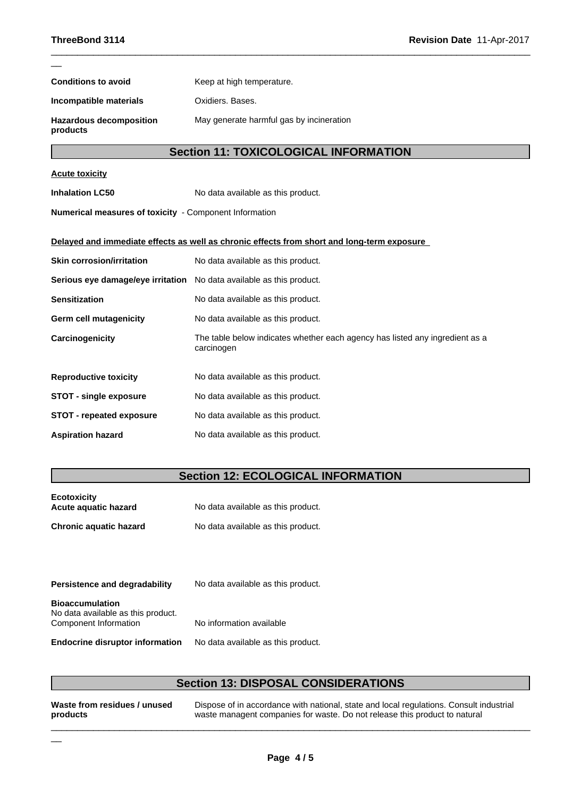| <b>Conditions to avoid</b>                             | Keep at high temperature.                                                                  |
|--------------------------------------------------------|--------------------------------------------------------------------------------------------|
| Incompatible materials                                 | Oxidiers, Bases.                                                                           |
| <b>Hazardous decomposition</b><br>products             | May generate harmful gas by incineration                                                   |
|                                                        | <b>Section 11: TOXICOLOGICAL INFORMATION</b>                                               |
| <b>Acute toxicity</b>                                  |                                                                                            |
| <b>Inhalation LC50</b>                                 | No data available as this product.                                                         |
| Numerical measures of toxicity - Component Information |                                                                                            |
|                                                        | Delayed and immediate effects as well as chronic effects from short and long-term exposure |
| <b>Skin corrosion/irritation</b>                       | No data available as this product.                                                         |
| Serious eye damage/eye irritation                      | No data available as this product.                                                         |
| <b>Sensitization</b>                                   | No data available as this product.                                                         |
| Germ cell mutagenicity                                 | No data available as this product.                                                         |
| Carcinogenicity                                        | The table below indicates whether each agency has listed any ingredient as a<br>carcinogen |
| <b>Reproductive toxicity</b>                           | No data available as this product.                                                         |

 $\_$  ,  $\_$  ,  $\_$  ,  $\_$  ,  $\_$  ,  $\_$  ,  $\_$  ,  $\_$  ,  $\_$  ,  $\_$  ,  $\_$  ,  $\_$  ,  $\_$  ,  $\_$  ,  $\_$  ,  $\_$  ,  $\_$  ,  $\_$  ,  $\_$  ,  $\_$  ,  $\_$  ,  $\_$  ,  $\_$  ,  $\_$  ,  $\_$  ,  $\_$  ,  $\_$  ,  $\_$  ,  $\_$  ,  $\_$  ,  $\_$  ,  $\_$  ,  $\_$  ,  $\_$  ,  $\_$  ,  $\_$  ,  $\_$  ,

**STOT - single exposure** No data available as this product. **STOT** - **repeated exposure** No data available as this product.

**Aspiration hazard** No data available as this product.

## **Section 12: ECOLOGICAL INFORMATION**

| <b>Ecotoxicity</b><br>Acute aguatic hazard | No data available as this product. |
|--------------------------------------------|------------------------------------|
| <b>Chronic aquatic hazard</b>              | No data available as this product. |

| <b>Persistence and degradability</b>                                                  | No data available as this product. |
|---------------------------------------------------------------------------------------|------------------------------------|
| <b>Bioaccumulation</b><br>No data available as this product.<br>Component Information | No information available           |
| <b>Endocrine disruptor information</b>                                                | No data available as this product. |

## **Section 13: DISPOSAL CONSIDERATIONS**

**Waste from residues / unused products**

\_\_

Dispose of in accordance with national, state and local regulations. Consult industrial waste managent companies for waste. Do not release this product to natural